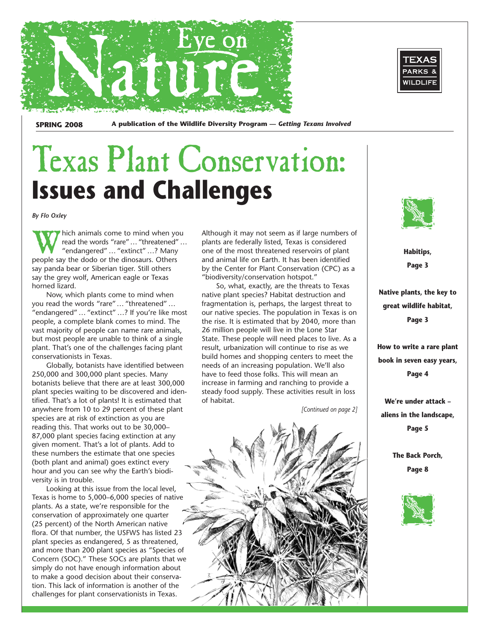



**SPRING 2008 A publication of the Wildlife Diversity Program —** *Getting Texans Involved* 

### Texas Plant Conservation: **Issues and Challenges**

*By Flo Oxley* 

W hich animals come to mind when you<br>read the words "rare"... "threatened"...<br>"endangered"... "extinct"...? Many<br>neonle say the dodo or the dinosaurs. Others read the words "rare"… "threatened" … "endangered" … "extinct" …? Many people say the dodo or the dinosaurs. Others say panda bear or Siberian tiger. Still others say the grey wolf, American eagle or Texas horned lizard.

Now, which plants come to mind when you read the words "rare"… "threatened" … "endangered" … "extinct" …? If you're like most people, a complete blank comes to mind. The vast majority of people can name rare animals, but most people are unable to think of a single plant. That's one of the challenges facing plant conservationists in Texas.

Globally, botanists have identified between 250,000 and 300,000 plant species. Many botanists believe that there are at least 300,000 plant species waiting to be discovered and identified. That's a lot of plants! It is estimated that anywhere from 10 to 29 percent of these plant species are at risk of extinction as you are reading this. That works out to be 30,000– 87,000 plant species facing extinction at any given moment. That's a lot of plants. Add to these numbers the estimate that one species (both plant and animal) goes extinct every hour and you can see why the Earth's biodiversity is in trouble.

Looking at this issue from the local level, Texas is home to 5,000–6,000 species of native plants. As a state, we're responsible for the conservation of approximately one quarter (25 percent) of the North American native flora. Of that number, the USFWS has listed 23 plant species as endangered, 5 as threatened, and more than 200 plant species as "Species of Concern (SOC)." These SOCs are plants that we simply do not have enough information about to make a good decision about their conservation. This lack of information is another of the challenges for plant conservationists in Texas.

Although it may not seem as if large numbers of plants are federally listed, Texas is considered one of the most threatened reservoirs of plant and animal life on Earth. It has been identified by the Center for Plant Conservation (CPC) as a "biodiversity/conservation hotspot."

So, what, exactly, are the threats to Texas native plant species? Habitat destruction and fragmentation is, perhaps, the largest threat to our native species. The population in Texas is on the rise. It is estimated that by 2040, more than 26 million people will live in the Lone Star State. These people will need places to live. As a result, urbanization will continue to rise as we build homes and shopping centers to meet the needs of an increasing population. We'll also have to feed those folks. This will mean an increase in farming and ranching to provide a steady food supply. These activities result in loss of habitat.

*[Continued on page 2]* 





**Habitips, Page 3** 

**Native plants, the key to great wildlife habitat, Page 3** 

**How to write a rare plant book in seven easy years, Page 4** 

**We're under attack – aliens in the landscape, Page 5** 

> **The Back Porch, Page 8**

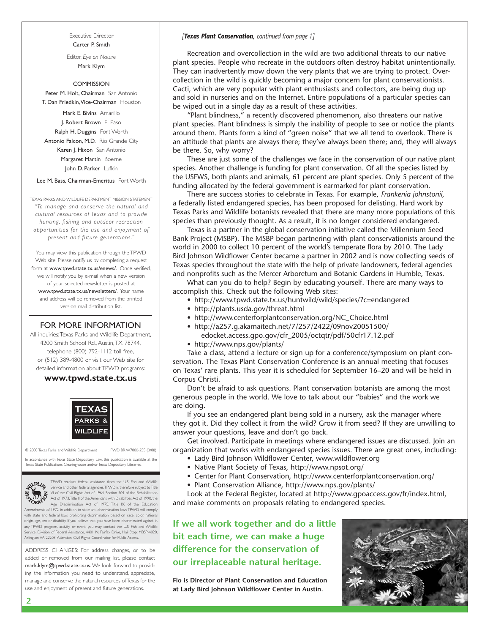Executive Director Carter P. Smith

Editor, *Eye on Nature*  Mark Klym

#### **COMMISSION**

Peter M. Holt, Chairman San Antonio T. Dan Friedkin,Vice-Chairman Houston

Mark E. Bivins Amarillo J. Robert Brown El Paso Ralph H. Duggins Fort Worth Antonio Falcon, M.D. Rio Grande City Karen J. Hixon San Antonio Margaret Martin Boerne John D. Parker Lufkin

Lee M. Bass, Chairman-Emeritus Fort Worth

TEXAS PARKS AND WILDLIFE DEPARTMENT MISSION STATEMENT *"To manage and conser ve the natural and cultural resources of Texas and to provide hunting, fishing and outdoor recreation opportunities for the use and enjoyment of present and future generations."* 

You may view this publication through the TPWD Web site. Please notify us by completing a request form at www.tpwd.state.tx.us/enews/. Once verified, we will notify you by e-mail when a new version of your selected newsletter is posted at www.tpwd.state.tx.us/newsletters/. Your name and address will be removed from the printed version mail distribution list.

#### FOR MORE INFORMATION

All inquiries:Texas Parks and Wildlife Department, 4200 Smith School Rd., Austin,TX 78744, telephone (800) 792-1112 toll free, or (512) 389-4800 or visit our Web site for detailed information about TPWD programs:

#### **www.tpwd.state.tx.us**



© 2008 Texas Parks and Wildlife Department PWD BR W7000-255 (3/08)

In accordance with Texas State Depository Law, this publication is available at the as State Publications Clearinghouse and/or Texas Depository Libraries



TPWD receives federal assistance from the U.S. Fish and Wildlife<br>Service and other federal agencies.TPWD is therefore subject toTitle<br>VI of the Civil Rights Act of 1964, Section 504 of the Rehabilitation<br>Act of 1973,Title

Age Discrimination Act of 1975, Title IX of the Education Amendments of 1972, in addition to state anti-discrimination laws.TPWD will comply ith state and federal laws prohibiting discrimination based on race, color, national origin, age, sex or disability. If you believe that you have been discriminated against in any TPWD program, activity or event, you may contact the U.S. Fish and Wildlife .<br>Tice, Division of Federal Assistance, 4401 N. Fairfax Drive, Mail Stop: MBSP-4020, Arlington,VA 22203, Attention: Civil Rights Coordinator for Public Access.

ADDRESS CHANGES: For address changes, or to be added or removed from our mailing list, please contact mark.klym@tpwd.state.tx.us. We look forward to providing the information you need to understand, appreciate, manage and conserve the natural resources of Texas for the use and enjoyment of present and future generations.

#### *[Texas Plant Conservation, continued from page 1]*

Recreation and overcollection in the wild are two additional threats to our native plant species. People who recreate in the outdoors often destroy habitat unintentionally. They can inadvertently mow down the very plants that we are trying to protect. Overcollection in the wild is quickly becoming a major concern for plant conservationists. Cacti, which are very popular with plant enthusiasts and collectors, are being dug up and sold in nurseries and on the Internet. Entire populations of a particular species can be wiped out in a single day as a result of these activities.

"Plant blindness," a recently discovered phenomenon, also threatens our native plant species. Plant blindness is simply the inability of people to see or notice the plants around them. Plants form a kind of "green noise" that we all tend to overlook. There is an attitude that plants are always there; they've always been there; and, they will always be there. So, why worry?

These are just some of the challenges we face in the conservation of our native plant species. Another challenge is funding for plant conservation. Of all the species listed by the USFWS, both plants and animals, 61 percent are plant species. Only 5 percent of the funding allocated by the federal government is earmarked for plant conservation.

There are success stories to celebrate in Texas. For example, *Frankenia johnstonii*, a federally listed endangered species, has been proposed for delisting. Hard work by Texas Parks and Wildlife botanists revealed that there are many more populations of this species than previously thought. As a result, it is no longer considered endangered.

Texas is a partner in the global conservation initiative called the Millennium Seed Bank Project (MSBP). The MSBP began partnering with plant conservationists around the world in 2000 to collect 10 percent of the world's temperate flora by 2010. The Lady Bird Johnson Wildflower Center became a partner in 2002 and is now collecting seeds of Texas species throughout the state with the help of private landowners, federal agencies and nonprofits such as the Mercer Arboretum and Botanic Gardens in Humble, Texas.

What can you do to help? Begin by educating yourself. There are many ways to accomplish this. Check out the following Web sites:

- http://www.tpwd.state.tx.us/huntwild/wild/species/?c=endangered
- http://plants.usda.gov/threat.html
- http://www.centerforplantconservation.org/NC\_Choice.html
- http://a257.g.akamaitech.net/7/257/2422/09nov20051500/ edocket.access.gpo.gov/cfr\_2005/octqtr/pdf/50cfr17.12.pdf
- http://www.nps.gov/plants/

Take a class, attend a lecture or sign up for a conference/symposium on plant conservation. The Texas Plant Conservation Conference is an annual meeting that focuses on Texas' rare plants. This year it is scheduled for September 16–20 and will be held in Corpus Christi.

Don't be afraid to ask questions. Plant conservation botanists are among the most generous people in the world. We love to talk about our "babies" and the work we are doing.

If you see an endangered plant being sold in a nursery, ask the manager where they got it. Did they collect it from the wild? Grow it from seed? If they are unwilling to answer your questions, leave and don't go back.

Get involved. Participate in meetings where endangered issues are discussed. Join an organization that works with endangered species issues. There are great ones, including:

- Lady Bird Johnson Wildflower Center, www.wildflower.org
- Native Plant Society of Texas, http://www.npsot.org/
- Center for Plant Conservation, http://www.centerforplantconservation.org/
- Plant Conservation Alliance, http://www.nps.gov/plants/

Look at the Federal Register, located at http://www.gpoaccess.gov/fr/index.html, and make comments on proposals relating to endangered species.

**If we all work together and do a little bit each time, we can make a huge difference for the conservation of our irreplaceable natural heritage.** 

**Flo is Director of Plant Conservation and Education at Lady Bird Johnson Wildflower Center in Austin.** 

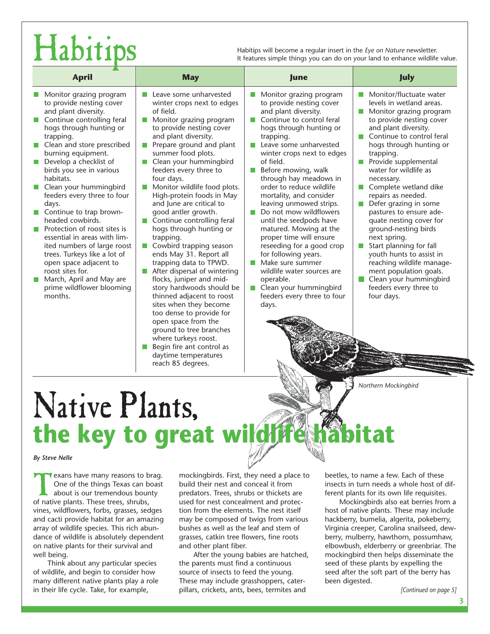Habitips will become a regular insert in the *Eye on Nature* newsletter.<br>It features simple things you can do on your land to enhance wildlife value.

| <b>April</b>                                                                                                                                                                                                                                                                                                                                                                                                                                                                                                                                                                                                                                                     | <b>May</b>                                                                                                                                                                                                                                                                                                                                                                                                                                                                                                                                                                                                                                                                                                                                                                                                                                                                                   | June                                                                                                                                                                                                                                                                                                                                                                                                                                                                                                                                                                                                                                                                                                                        | July                                                                                                                                                                                                                                                                                                                                                                                                                                                                                                                                                                                                                                                        |
|------------------------------------------------------------------------------------------------------------------------------------------------------------------------------------------------------------------------------------------------------------------------------------------------------------------------------------------------------------------------------------------------------------------------------------------------------------------------------------------------------------------------------------------------------------------------------------------------------------------------------------------------------------------|----------------------------------------------------------------------------------------------------------------------------------------------------------------------------------------------------------------------------------------------------------------------------------------------------------------------------------------------------------------------------------------------------------------------------------------------------------------------------------------------------------------------------------------------------------------------------------------------------------------------------------------------------------------------------------------------------------------------------------------------------------------------------------------------------------------------------------------------------------------------------------------------|-----------------------------------------------------------------------------------------------------------------------------------------------------------------------------------------------------------------------------------------------------------------------------------------------------------------------------------------------------------------------------------------------------------------------------------------------------------------------------------------------------------------------------------------------------------------------------------------------------------------------------------------------------------------------------------------------------------------------------|-------------------------------------------------------------------------------------------------------------------------------------------------------------------------------------------------------------------------------------------------------------------------------------------------------------------------------------------------------------------------------------------------------------------------------------------------------------------------------------------------------------------------------------------------------------------------------------------------------------------------------------------------------------|
| Monitor grazing program<br>to provide nesting cover<br>and plant diversity.<br>Continue controlling feral<br>hogs through hunting or<br>trapping.<br>Clean and store prescribed<br>h.<br>burning equipment.<br>Develop a checklist of<br>$\Box$<br>birds you see in various<br>habitats.<br>Clean your hummingbird<br>L.<br>feeders every three to four<br>days.<br>Continue to trap brown-<br>headed cowbirds.<br>Protection of roost sites is<br>essential in areas with lim-<br>ited numbers of large roost<br>trees. Turkeys like a lot of<br>open space adjacent to<br>roost sites for.<br>March, April and May are<br>prime wildflower blooming<br>months. | Leave some unharvested<br>winter crops next to edges<br>of field.<br>Monitor grazing program<br>n.<br>to provide nesting cover<br>and plant diversity.<br>Prepare ground and plant<br>n a<br>summer food plots.<br>Clean your hummingbird<br>feeders every three to<br>four days.<br>Monitor wildlife food plots.<br>High-protein foods in May<br>and June are critical to<br>good antler growth.<br>Continue controlling feral<br>hogs through hunting or<br>trapping.<br>Cowbird trapping season<br>ш<br>ends May 31. Report all<br>trapping data to TPWD.<br>After dispersal of wintering<br>flocks, juniper and mid-<br>story hardwoods should be<br>thinned adjacent to roost<br>sites when they become<br>too dense to provide for<br>open space from the<br>ground to tree branches<br>where turkeys roost.<br>Begin fire ant control as<br>daytime temperatures<br>reach 85 degrees. | Monitor grazing program<br>to provide nesting cover<br>and plant diversity.<br>Continue to control feral<br>I.<br>hogs through hunting or<br>trapping.<br>Leave some unharvested<br>n a<br>winter crops next to edges<br>of field.<br>Before mowing, walk<br>L.<br>through hay meadows in<br>order to reduce wildlife<br>mortality, and consider<br>leaving unmowed strips.<br>Do not mow wildflowers<br>n a<br>until the seedpods have<br>matured. Mowing at the<br>proper time will ensure<br>reseeding for a good crop<br>for following years.<br>Make sure summer<br>$\sim$<br>wildlife water sources are<br>operable.<br>Clean your hummingbird<br>$\mathcal{C}^{\mathcal{A}}$<br>feeders every three to four<br>days. | Monitor/fluctuate water<br>levels in wetland areas.<br>Monitor grazing program<br><b>College</b><br>to provide nesting cover<br>and plant diversity.<br>Continue to control feral<br>hogs through hunting or<br>trapping.<br>Provide supplemental<br>И.<br>water for wildlife as<br>necessary.<br>Complete wetland dike<br>repairs as needed.<br>Defer grazing in some<br>pastures to ensure ade-<br>quate nesting cover for<br>ground-nesting birds<br>next spring.<br>Start planning for fall<br>n a<br>youth hunts to assist in<br>reaching wildlife manage-<br>ment population goals.<br>Clean your hummingbird<br>feeders every three to<br>four days. |

*Northern Mockingbird* 

# Native Plants, **the key to great w**

#### *By Steve Nelle*

Texans have many reasons to brag.<br>
One of the things Texas can boast<br>
about is our tremendous bounty<br>
of native plants These trees shrubs One of the things Texas can boast about is our tremendous bounty of native plants. These trees, shrubs, vines, wildflowers, forbs, grasses, sedges and cacti provide habitat for an amazing array of wildlife species. This rich abundance of wildlife is absolutely dependent on native plants for their survival and well being.

Think about any particular species of wildlife, and begin to consider how many different native plants play a role in their life cycle. Take, for example,

mockingbirds. First, they need a place to build their nest and conceal it from predators. Trees, shrubs or thickets are used for nest concealment and protection from the elements. The nest itself may be composed of twigs from various bushes as well as the leaf and stem of grasses, catkin tree flowers, fine roots and other plant fiber.

After the young babies are hatched, the parents must find a continuous source of insects to feed the young. These may include grasshoppers, caterpillars, crickets, ants, bees, termites and

beetles, to name a few. Each of these insects in turn needs a whole host of different plants for its own life requisites.

Mockingbirds also eat berries from a host of native plants. These may include hackberry, bumelia, algerita, pokeberry, Virginia creeper, Carolina snailseed, dewberry, mulberry, hawthorn, possumhaw, elbowbush, elderberry or greenbriar. The mockingbird then helps disseminate the seed of these plants by expelling the seed after the soft part of the berry has been digested.

*[Continued on page 5]*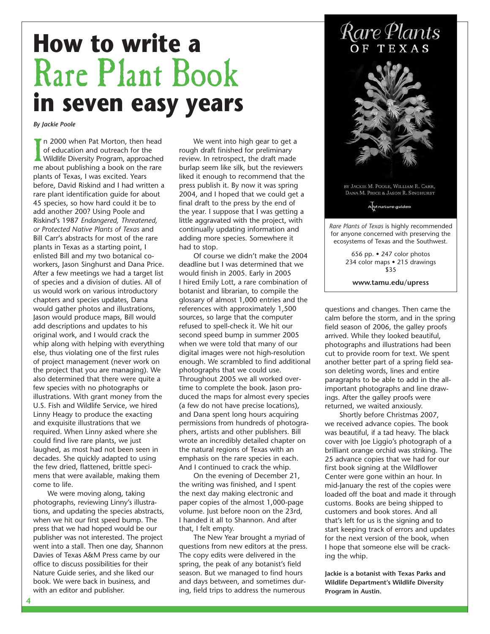### **How to write a**  Rare Plant Book **in seven easy years**

*By Jackie Poole* 

In 2000 when Pat Morton, then head<br>of education and outreach for the<br>Wildlife Diversity Program, approached<br>me about publishing a book on the rare n 2000 when Pat Morton, then head of education and outreach for the Wildlife Diversity Program, approached plants of Texas, I was excited. Years before, David Riskind and I had written a rare plant identification guide for about 45 species, so how hard could it be to add another 200? Using Poole and Riskind's 1987 *Endangered, Threatened, or Protected Native Plants of Texas* and Bill Carr's abstracts for most of the rare plants in Texas as a starting point, I enlisted Bill and my two botanical coworkers, Jason Singhurst and Dana Price. After a few meetings we had a target list of species and a division of duties. All of us would work on various introductory chapters and species updates, Dana would gather photos and illustrations, Jason would produce maps, Bill would add descriptions and updates to his original work, and I would crack the whip along with helping with everything else, thus violating one of the first rules of project management (never work on the project that you are managing). We also determined that there were quite a few species with no photographs or illustrations. With grant money from the U.S. Fish and Wildlife Service, we hired Linny Heagy to produce the exacting and exquisite illustrations that we required. When Linny asked where she could find live rare plants, we just laughed, as most had not been seen in decades. She quickly adapted to using the few dried, flattened, brittle specimens that were available, making them come to life.

We were moving along, taking photographs, reviewing Linny's illustrations, and updating the species abstracts, when we hit our first speed bump. The press that we had hoped would be our publisher was not interested. The project went into a stall. Then one day, Shannon Davies of Texas A&M Press came by our office to discuss possibilities for their Nature Guide series, and she liked our book. We were back in business, and with an editor and publisher.

We went into high gear to get a rough draft finished for preliminary review. In retrospect, the draft made burlap seem like silk, but the reviewers liked it enough to recommend that the press publish it. By now it was spring 2004, and I hoped that we could get a final draft to the press by the end of the year. I suppose that I was getting a little aggravated with the project, with continually updating information and adding more species. Somewhere it had to stop.

Of course we didn't make the 2004 deadline but I was determined that we would finish in 2005. Early in 2005 I hired Emily Lott, a rare combination of botanist and librarian, to compile the glossary of almost 1,000 entries and the references with approximately 1,500 sources, so large that the computer refused to spell-check it. We hit our second speed bump in summer 2005 when we were told that many of our digital images were not high-resolution enough. We scrambled to find additional photographs that we could use. Throughout 2005 we all worked overtime to complete the book. Jason produced the maps for almost every species (a few do not have precise locations), and Dana spent long hours acquiring permissions from hundreds of photographers, artists and other publishers. Bill wrote an incredibly detailed chapter on the natural regions of Texas with an emphasis on the rare species in each. And I continued to crack the whip.

On the evening of December 21, the writing was finished, and I spent the next day making electronic and paper copies of the almost 1,000-page volume. Just before noon on the 23rd, I handed it all to Shannon. And after that, I felt empty.

The New Year brought a myriad of questions from new editors at the press. The copy edits were delivered in the spring, the peak of any botanist's field season. But we managed to find hours and days between, and sometimes during, field trips to address the numerous



by Jackie M. Poole, William R. Carr, DANA M. PRICE & JASON R. SINGHURST

AM nature guides

*Rare Plants of Texas* is highly recommended for anyone concerned with preserving the ecosystems of Texas and the Southwest.

> 656 pp. • 247 color photos 234 color maps • 215 drawings \$35

**www.tamu.edu/upress** 

questions and changes. Then came the calm before the storm, and in the spring field season of 2006, the galley proofs arrived. While they looked beautiful, photographs and illustrations had been cut to provide room for text. We spent another better part of a spring field season deleting words, lines and entire paragraphs to be able to add in the allimportant photographs and line drawings. After the galley proofs were returned, we waited anxiously.

Shortly before Christmas 2007, we received advance copies. The book was beautiful, if a tad heavy. The black cover with Joe Liggio's photograph of a brilliant orange orchid was striking. The 25 advance copies that we had for our first book signing at the Wildflower Center were gone within an hour. In mid-January the rest of the copies were loaded off the boat and made it through customs. Books are being shipped to customers and book stores. And all that's left for us is the signing and to start keeping track of errors and updates for the next version of the book, when I hope that someone else will be cracking the whip.

**Jackie is a botanist with Texas Parks and Wildlife Department's Wildlife Diversity Program in Austin.**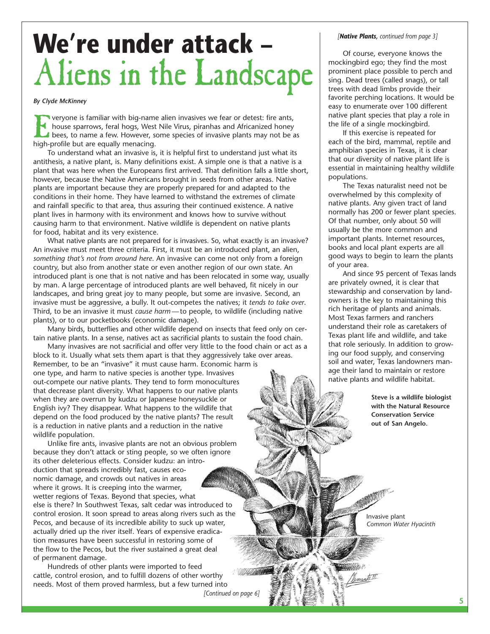## **We're under attack –**  Aliens in the Landscape

#### *By Clyde McKinney*

**Veryone is familiar with big-name alien invasives we fear or detest: fire ants,** house sparrows, feral hogs, West Nile Virus, piranhas and Africanized honey bees, to name a few. However, some species of invasive plants may not be as high-profile but are equally menacing.

To understand what an invasive is, it is helpful first to understand just what its antithesis, a native plant, is. Many definitions exist. A simple one is that a native is a plant that was here when the Europeans first arrived. That definition falls a little short, however, because the Native Americans brought in seeds from other areas. Native plants are important because they are properly prepared for and adapted to the conditions in their home. They have learned to withstand the extremes of climate and rainfall specific to that area, thus assuring their continued existence. A native plant lives in harmony with its environment and knows how to survive without causing harm to that environment. Native wildlife is dependent on native plants for food, habitat and its very existence.

What native plants are not prepared for is invasives. So, what exactly is an invasive? An invasive must meet three criteria. First, it must be an introduced plant, an alien, *something that's not from around here*. An invasive can come not only from a foreign country, but also from another state or even another region of our own state. An introduced plant is one that is not native and has been relocated in some way, usually by man. A large percentage of introduced plants are well behaved, fit nicely in our landscapes, and bring great joy to many people, but some are invasive. Second, an invasive must be aggressive, a bully. It out-competes the natives; it *tends to take over*. Third, to be an invasive it must *cause harm —* to people, to wildlife (including native plants), or to our pocketbooks (economic damage).

Many birds, butterflies and other wildlife depend on insects that feed only on certain native plants. In a sense, natives act as sacrificial plants to sustain the food chain.

Many invasives are not sacrificial and offer very little to the food chain or act as a block to it. Usually what sets them apart is that they aggressively take over areas. Remember, to be an "invasive" it must cause harm. Economic harm is one type, and harm to native species is another type. Invasives out-compete our native plants. They tend to form monocultures that decrease plant diversity. What happens to our native plants when they are overrun by kudzu or Japanese honeysuckle or English ivy? They disappear. What happens to the wildlife that depend on the food produced by the native plants? The result is a reduction in native plants and a reduction in the native wildlife population.

Unlike fire ants, invasive plants are not an obvious problem because they don't attack or sting people, so we often ignore its other deleterious effects. Consider kudzu: an introduction that spreads incredibly fast, causes economic damage, and crowds out natives in areas where it grows. It is creeping into the warmer, wetter regions of Texas. Beyond that species, what else is there? In Southwest Texas, salt cedar was introduced to control erosion. It soon spread to areas along rivers such as the Pecos, and because of its incredible ability to suck up water, **Common Water Hyacinth** *Common Water Hyacinth* actually dried up the river itself. Years of expensive eradication measures have been successful in restoring some of the flow to the Pecos, but the river sustained a great deal of permanent damage.

Hundreds of other plants were imported to feed cattle, control erosion, and to fulfill dozens of other worthy needs. Most of them proved harmless, but a few turned into

*[Continued on page 6]* 

#### *[Native Plants, continued from page 3]*

Of course, everyone knows the mockingbird ego; they find the most prominent place possible to perch and sing. Dead trees (called snags), or tall trees with dead limbs provide their favorite perching locations. It would be easy to enumerate over 100 different native plant species that play a role in the life of a single mockingbird.

If this exercise is repeated for each of the bird, mammal, reptile and amphibian species in Texas, it is clear that our diversity of native plant life is essential in maintaining healthy wildlife populations.

The Texas naturalist need not be overwhelmed by this complexity of native plants. Any given tract of land normally has 200 or fewer plant species. Of that number, only about 50 will usually be the more common and important plants. Internet resources, books and local plant experts are all good ways to begin to learn the plants of your area.

And since 95 percent of Texas lands are privately owned, it is clear that stewardship and conservation by landowners is the key to maintaining this rich heritage of plants and animals. Most Texas farmers and ranchers understand their role as caretakers of Texas plant life and wildlife, and take that role seriously. In addition to growing our food supply, and conserving soil and water, Texas landowners manage their land to maintain or restore native plants and wildlife habitat.

> **Steve is a wildlife biologist with the Natural Resource Conservation Service out of San Angelo.**

Invasive plant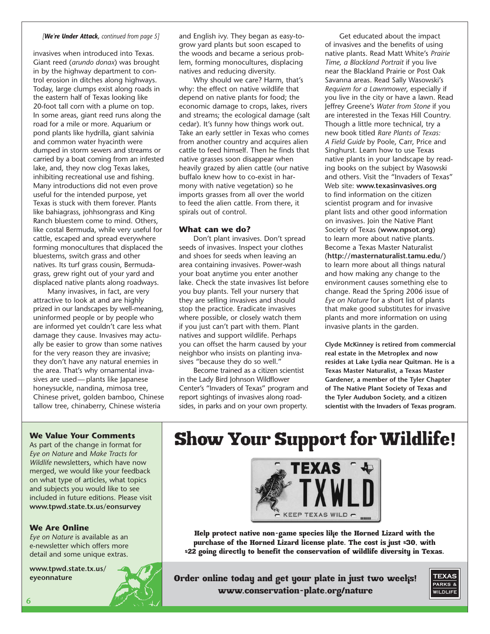#### *[We're Under Attack, continued from page 5]*

invasives when introduced into Texas. Giant reed (*arundo donax*) was brought in by the highway department to control erosion in ditches along highways. Today, large clumps exist along roads in the eastern half of Texas looking like 20-foot tall corn with a plume on top. In some areas, giant reed runs along the road for a mile or more. Aquarium or pond plants like hydrilla, giant salvinia and common water hyacinth were dumped in storm sewers and streams or carried by a boat coming from an infested lake, and, they now clog Texas lakes, inhibiting recreational use and fishing. Many introductions did not even prove useful for the intended purpose, yet Texas is stuck with them forever. Plants like bahiagrass, johhsongrass and King Ranch bluestem come to mind. Others, like costal Bermuda, while very useful for cattle, escaped and spread everywhere forming monocultures that displaced the bluestems, switch grass and other natives. Its turf grass cousin, Bermudagrass, grew right out of your yard and displaced native plants along roadways.

Many invasives, in fact, are very attractive to look at and are highly prized in our landscapes by well-meaning, uninformed people or by people who are informed yet couldn't care less what damage they cause. Invasives may actually be easier to grow than some natives for the very reason they are invasive; they don't have any natural enemies in the area. That's why ornamental invasives are used— plants like Japanese honeysuckle, nandina, mimosa tree, Chinese privet, golden bamboo, Chinese tallow tree, chinaberry, Chinese wisteria

and English ivy. They began as easy-togrow yard plants but soon escaped to the woods and became a serious problem, forming monocultures, displacing natives and reducing diversity.

Why should we care? Harm, that's why: the effect on native wildlife that depend on native plants for food; the economic damage to crops, lakes, rivers and streams; the ecological damage (salt cedar). It's funny how things work out. Take an early settler in Texas who comes from another country and acquires alien cattle to feed himself. Then he finds that native grasses soon disappear when heavily grazed by alien cattle (our native buffalo knew how to co-exist in harmony with native vegetation) so he imports grasses from all over the world to feed the alien cattle. From there, it spirals out of control.

#### **What can we do?**

Don't plant invasives. Don't spread seeds of invasives. Inspect your clothes and shoes for seeds when leaving an area containing invasives. Power-wash your boat anytime you enter another lake. Check the state invasives list before you buy plants. Tell your nursery that they are selling invasives and should stop the practice. Eradicate invasives where possible, or closely watch them if you just can't part with them. Plant natives and support wildlife. Perhaps you can offset the harm caused by your neighbor who insists on planting invasives "because they do so well."

Become trained as a citizen scientist in the Lady Bird Johnson Wildflower Center's "Invaders of Texas" program and report sightings of invasives along roadsides, in parks and on your own property.

Get educated about the impact of invasives and the benefits of using native plants. Read Matt White's *Prairie Time, a Blackland Portrait* if you live near the Blackland Prairie or Post Oak Savanna areas. Read Sally Wasowski's *Requiem for a Lawnmower*, especially if you live in the city or have a lawn. Read Jeffrey Greene's *Water from Stone* if you are interested in the Texas Hill Country. Though a little more technical, try a new book titled *Rare Plants of Texas: A Field Guide* by Poole, Carr, Price and Singhurst. Learn how to use Texas native plants in your landscape by reading books on the subject by Wasowski and others. Visit the "Invaders of Texas" Web site: **www.texasinvasives.org**  to find information on the citizen scientist program and for invasive plant lists and other good information on invasives. Join the Native Plant Society of Texas (**www.npsot.org**) to learn more about native plants. Become a Texas Master Naturalist (**http://masternaturalist.tamu.edu/**) to learn more about all things natural and how making any change to the environment causes something else to change. Read the Spring 2006 issue of *Eye on Nature* for a short list of plants that make good substitutes for invasive plants and more information on using invasive plants in the garden.

**Clyde McKinney is retired from commercial real estate in the Metroplex and now resides at Lake Lydia near Quitman. He is a Texas Master Naturalist, a Texas Master Gardener, a member of the Tyler Chapter of The Native Plant Society of Texas and the Tyler Audubon Society, and a citizen scientist with the Invaders of Texas program.** 

### **We Value Your Comments**

As part of the change in format for *Eye on Nature* and *Make Tracts for Wildlife* newsletters, which have now merged, we would like your feedback on what type of articles, what topics and subjects you would like to see included in future editions. Please visit **www.tpwd.state.tx.us/eonsurvey** 

#### **We Are Online**

*Eye on Nature* is available as an e-newsletter which offers more detail and some unique extras.

**www.tpwd.state.tx.us/ eyeonnature** 





Help protect native non-game species like the Horned Lizard with the purchase of the Horned Lizard license plate. The cost is just \$30, with \$22 going directly to benefit the conservation of wildlife diversity in Texas.

Order online today and get your plate in just two weeks! www.conservation-plate.org/nature

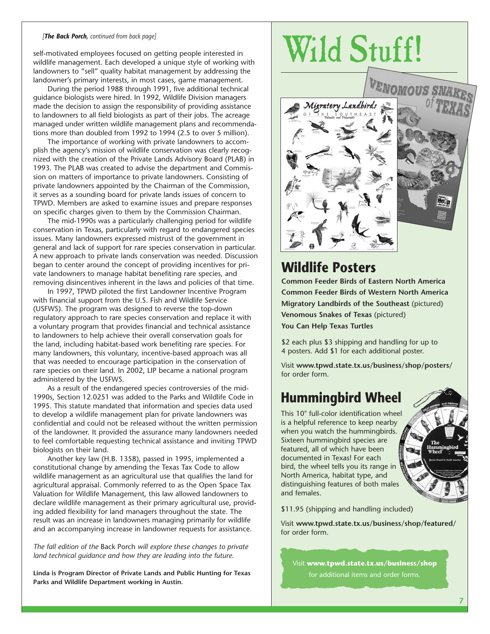#### *[The Back Porch, continued from back page]*

self-motivated employees focused on getting people interested in wildlife management. Each developed a unique style of working with landowners to "sell" quality habitat management by addressing the landowner's primary interests, in most cases, game management.

During the period 1988 through 1991, five additional technical guidance biologists were hired. In 1992, Wildlife Division managers made the decision to assign the responsibility of providing assistance to landowners to all field biologists as part of their jobs. The acreage managed under written wildlife management plans and recommendations more than doubled from 1992 to 1994 (2.5 to over 5 million).

The importance of working with private landowners to accomplish the agency's mission of wildlife conservation was clearly recognized with the creation of the Private Lands Advisory Board (PLAB) in 1993. The PLAB was created to advise the department and Commission on matters of importance to private landowners. Consisting of private landowners appointed by the Chairman of the Commission, it serves as a sounding board for private lands issues of concern to TPWD. Members are asked to examine issues and prepare responses on specific charges given to them by the Commission Chairman.

The mid-1990s was a particularly challenging period for wildlife conservation in Texas, particularly with regard to endangered species issues. Many landowners expressed mistrust of the government in general and lack of support for rare species conservation in particular. A new approach to private lands conservation was needed. Discussion began to center around the concept of providing incentives for private landowners to manage habitat benefiting rare species, and removing disincentives inherent in the laws and policies of that time.

In 1997, TPWD piloted the first Landowner Incentive Program with financial support from the U.S. Fish and Wildlife Service (USFWS). The program was designed to reverse the top-down regulatory approach to rare species conservation and replace it with a voluntary program that provides financial and technical assistance to landowners to help achieve their overall conservation goals for the land, including habitat-based work benefiting rare species. For many landowners, this voluntary, incentive-based approach was all that was needed to encourage participation in the conservation of rare species on their land. In 2002, LIP became a national program administered by the USFWS.

As a result of the endangered species controversies of the mid-1990s, Section 12.0251 was added to the Parks and Wildlife Code in 1995. This statute mandated that information and species data used to develop a wildlife management plan for private landowners was confidential and could not be released without the written permission of the landowner. It provided the assurance many landowners needed to feel comfortable requesting technical assistance and inviting TPWD biologists on their land.

Another key law (H.B. 1358), passed in 1995, implemented a constitutional change by amending the Texas Tax Code to allow wildlife management as an agricultural use that qualifies the land for agricultural appraisal. Commonly referred to as the Open Space Tax Valuation for Wildlife Management, this law allowed landowners to declare wildlife management as their primary agricultural use, providing added flexibility for land managers throughout the state. The result was an increase in landowners managing primarily for wildlife and an accompanying increase in landowner requests for assistance.

*The fall edition of the* Back Porch *will explore these changes to private land technical guidance and how they are leading into the future.* 

**Linda is Program Director of Private Lands and Public Hunting for Texas Parks and Wildlife Department working in Austin.** 

# Wild Stuff!



### **Wildlife Posters**

**Common Feeder Birds of Eastern North America Common Feeder Birds of Western North America Migratory Landbirds of the Southeast** (pictured) **Venomous Snakes of Texas** (pictured) **You Can Help Texas Turtles** 

\$2 each plus \$3 shipping and handling for up to 4 posters. Add \$1 for each additional poster.

Visit **www.tpwd.state.tx.us/business/shop/posters/**  for order form.

### **Hummingbird Wheel**

This 10" full-color identification wheel is a helpful reference to keep nearby when you watch the hummingbirds. Sixteen hummingbird species are featured, all of which have been documented in Texas! For each bird, the wheel tells you its range in North America, habitat type, and distinguishing features of both males and females.



\$11.95 (shipping and handling included)

Visit **www.tpwd.state.tx.us/business/shop/featured/**  for order form.

Visit **www.tpwd.state.tx.us/business/shop**  for additional items and order forms.